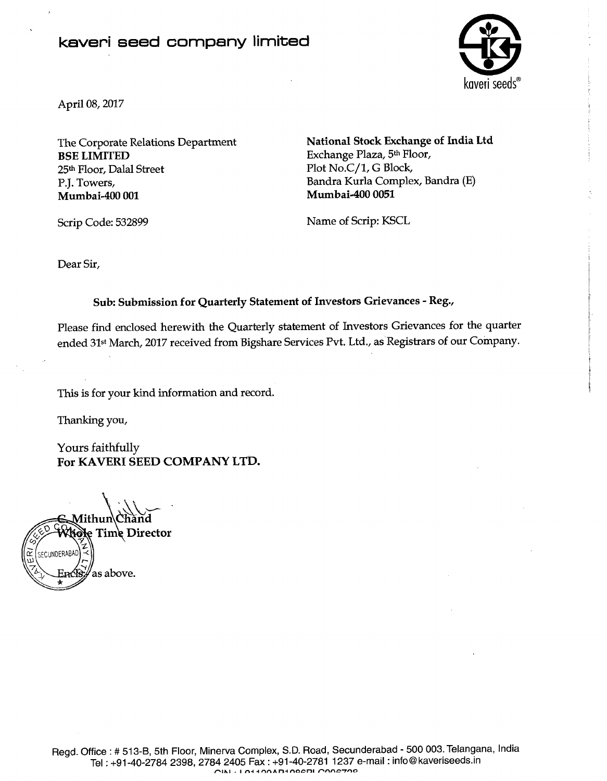### kaveri seed company limited



April 08,2017

**BSE LIMITED** Exchange Plaza, 5<sup>th</sup> Floor, 25<sup>th</sup> Floor, Dalal Street Plot No.C/1, G Block, P.J. Towers, Bandra Kurla Complex, Bandra (E) **Mumbai-400 001 Mumbai-400 0051** 

The Corporate Relations Department **National Stock Exchange of India Ltd** 

Scrip Code: 532899 Name of Scrip: KSCL

Dear Sir,

#### **Sub: Submission for Quarterly Statement of Investors Grievances** - **Reg.,**

Please find enclosed herewith the Quarterly statement of Investors Grievances for the quarter ended 31<sup>st</sup> March, 2017 received from Bigshare Services Pvt. Ltd., as Registrars of our Company.

This is for your kind information and record.

Thanking you,

Yours faithfully **For KAVERI SEED COMPANY LTD.** 

idle Time Director SECUNDERABAD  $\tilde{r}$ 

'as above. H.nC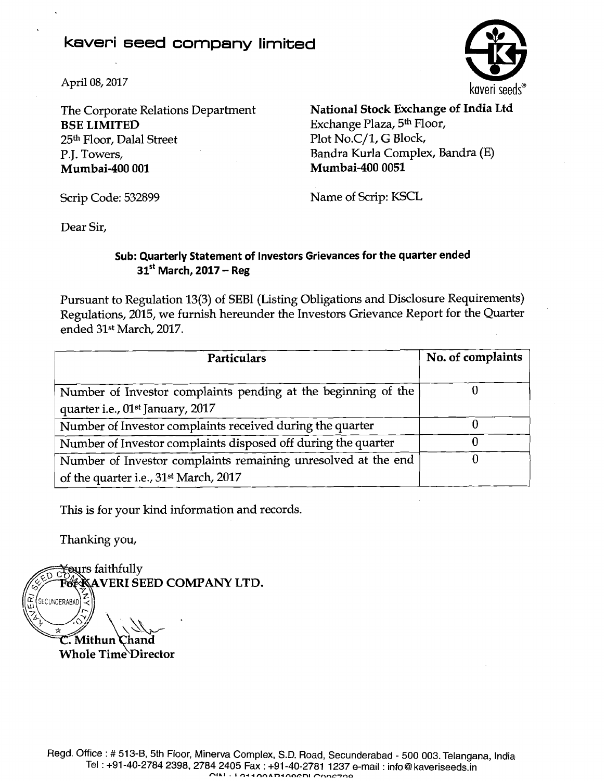## **kaveri seed company limited**



**BSE LIMITED** Exchange Plaza, 5<sup>th</sup> Floor,<br>25<sup>th</sup> Floor, Dalal Street Plot No.C/1, G Block, 25<sup>th</sup> Floor, Dalal Street P.J. Towers, Bandra Kurla Complex, Bandra (E) **Mumbai-400 001 Mumbai-400 0051** 

The Corporate Relations Department **National Stock Exchange of India Ltd** 

Scrip Code: 532899 Name of Scrip: KSCL

Dear Sir,

### **Sub: Quarterly Statement of Investors Grievances for the quarter ended 31'' March, 2017** - **Reg**

Pursuant to Regulation 13(3) of SEBI (Listing Obligations and Disclosure Requirements) Regulations, 2015, we furnish hereunder the Investors Grievance Report for the Quarter ended 31<sup>st</sup> March, 2017.

| Particulars                                                                                                        | No. of complaints |  |
|--------------------------------------------------------------------------------------------------------------------|-------------------|--|
| Number of Investor complaints pending at the beginning of the<br>quarter i.e., 01 <sup>st</sup> January, 2017      |                   |  |
| Number of Investor complaints received during the quarter                                                          |                   |  |
| Number of Investor complaints disposed off during the quarter                                                      |                   |  |
| Number of Investor complaints remaining unresolved at the end<br>of the quarter i.e., 31 <sup>st</sup> March, 2017 |                   |  |

This is for your kind information and records.

Thanking you,

**reurs faithfully SEED COMPANY LTD.**  $\widetilde{\mathcal{L}}$  (SECUNDERABAD) C. Mithun Chand **Whole Time Director**